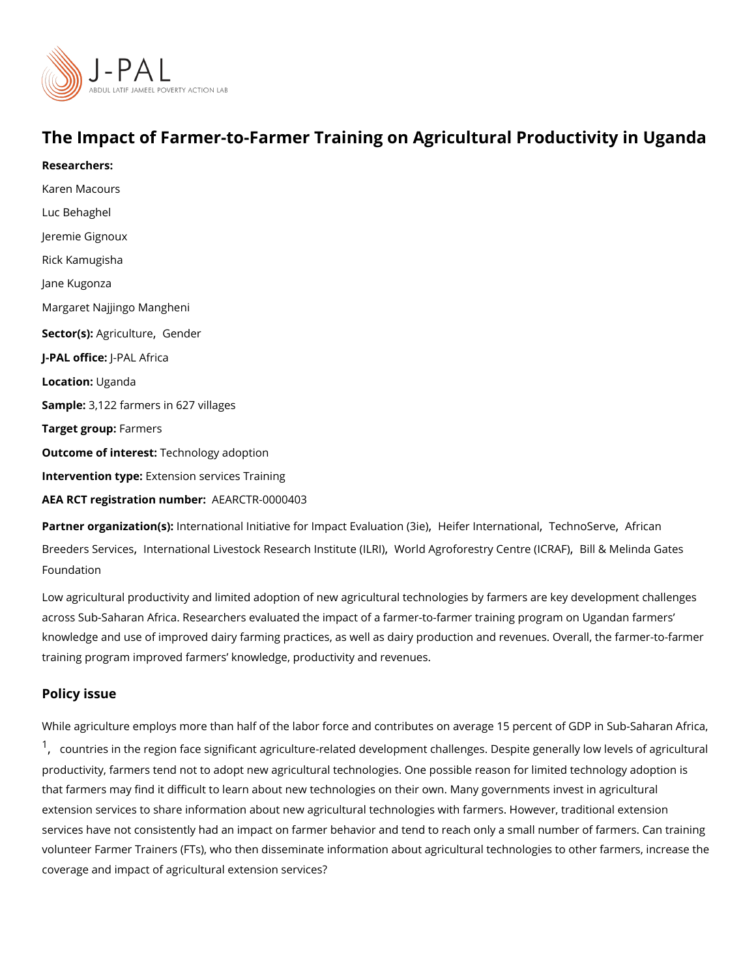# The Impact of Farmer-to-Farmer Training on Agriculutgarad aProduction Researchers: [Karen Mac](https://www.povertyactionlab.org/person/macours)ours [Luc Beha](https://www.povertyactionlab.org/person/behaghel)ghel Jeremie Gignoux Rick Kamugisha Jane Kugonza Margaret Najjingo Mangheni Sector(Asgricultu[Gend](https://www.povertyactionlab.org/sector/gender)er J-PAL oftlicReAL Africa Locatiobganda

Sample: 122 farmers in 627 villages

Target grolermers

Outcome of intelestinology adoption

Intervention tupeension services Training

AEA RCT registration AEMRETR-0000403

Partner organizatlinotne(rsn)ational Initiative for ImpactH**E**ivfælru anti**cenn(35tilie)**chanhoSe[,](https://www.povertyactionlab.org/partners/technoserve) Alvfeican [Breeders Se](https://www.povertyactionlab.org/partners/african-breeders-services)rwiteers ational Livestock Research Unitudited (Internation Centrell & Contrell agents Gates [Founda](https://www.povertyactionlab.org/partners/bill-melinda-gates-foundation)tion

Low agricultural productivity and limited adoption of new agricultural technologies by farr across Sub-Saharan Africa. Researchers evaluated the impact of a farmer-to-farmer traini knowledge and use of improved dairy farming practices, as well as dairy production and re training program improved farmers knowledge, productivity and revenues.

### Policy issue

While agriculture employs more than half of the labor force and contributes on average 15 <sup>[1](#page-3-0)</sup>[,](#page-3-0) countries in the region face significant agriculture-related development challenges. De productivity, farmers tend not to adopt new agricultural technologies. One possible reaso that farmers may find it difficult to learn about new technologies on their own. Many gove extension services to share information about new agricultural technadoiltogineas with enfonal mers. [services have not consistently had an imp](https://www.povertyactionlab.org/policy-insight/improving-extension-services-increase-smallholder-productivity)a $\bm{x}$  to the fract micer rebabla vointy a small number of farmers. volunteer Farmer Trainers (FTs), who then disseminate information about agricultural tecl coverage and impact of agricultural extension services?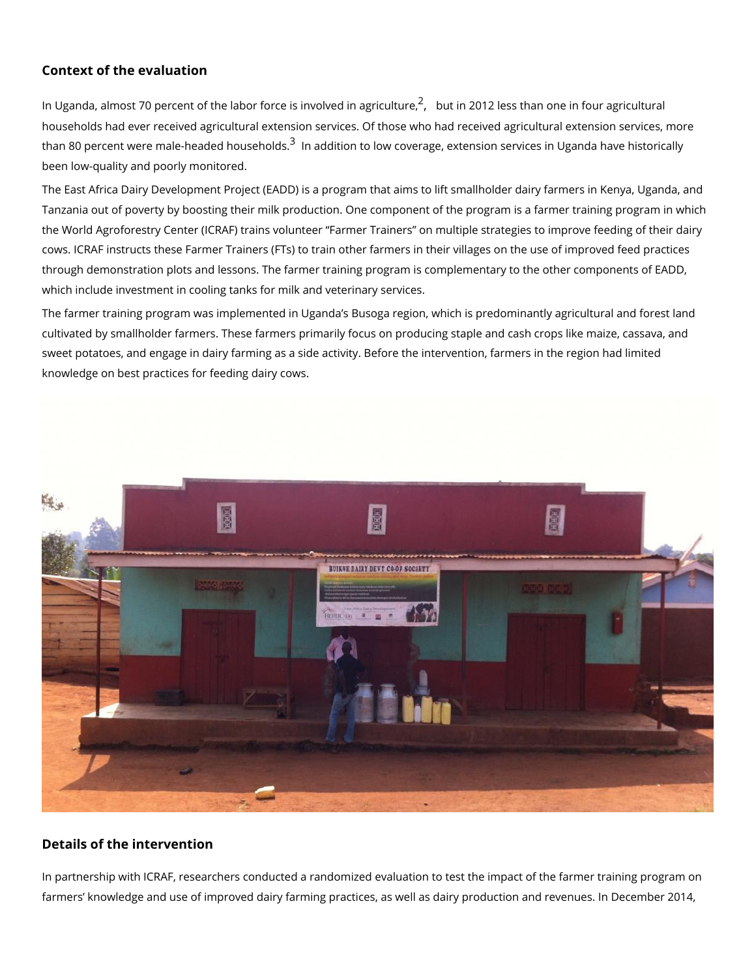#### Context of the evaluation

In Uganda, almost 70 percent of the labor force<sup>[2](#page-3-0)</sup>js bintron 2011 a begsricth hamrene in four agricu households had ever received agricultural extension services. Of those who had received than 80 percent were male-headed maddition to low coverage, extension services in Ugand been low-quality and poorly monitored.

The East Africa Dairy Development Project (EADD) is a program that aims to lift smallhold Tanzania out of poverty by boosting their milk production. One component of the program the World Agroforestry Center (ICRAF) trains volunteer Farmer Trainers on multiple stra cows. ICRAF instructs these Farmer Trainers (FTs) to train other farmers in their villages through demonstration plots and lessons. The farmer training program is complementary t which include investment in cooling tanks for milk and veterinary services.

The farmer training program was implemented in Uganda s Busoga region, which is predon cultivated by smallholder farmers. These farmers primarily focus on producing staple and sweet potatoes, and engage in dairy farming as a side activity. Before the intervention, fa knowledge on best practices for feeding dairy cows.

#### Details of the intervention

In partnership with ICRAF, researchers conducted a randomized evaluation to test the imp farmers knowledge and use of improved dairy farming practices, as well as dairy product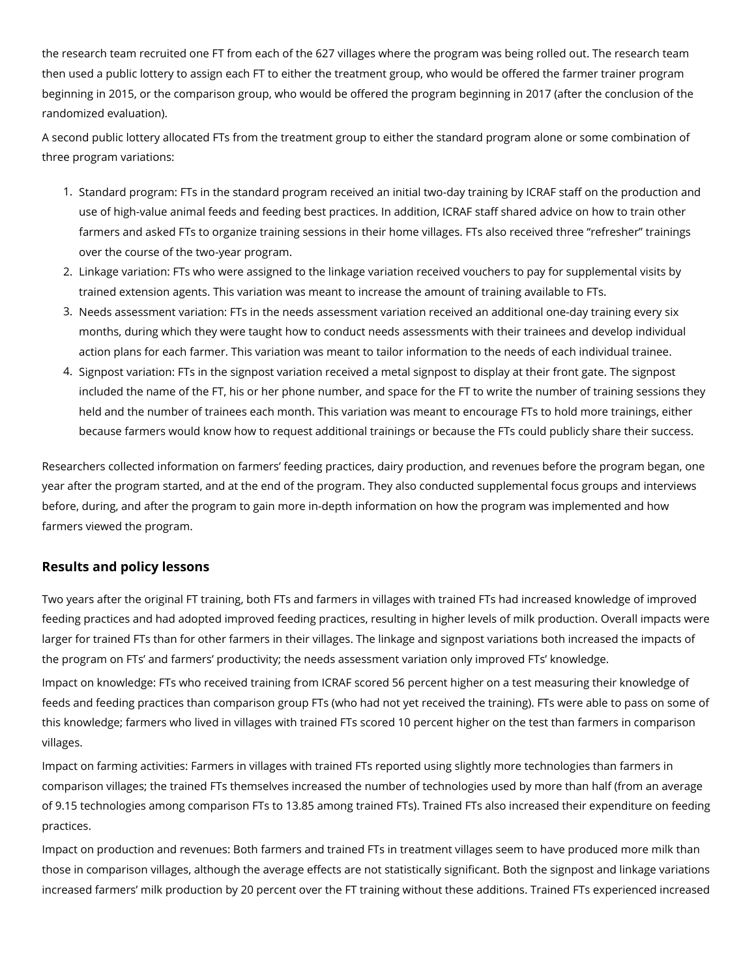the research team recruited one FT from each of the 627 villages where the program was being rolled out. The research team then used a public lottery to assign each FT to either the treatment group, who would be offered the farmer trainer program beginning in 2015, or the comparison group, who would be offered the program beginning in 2017 (after the conclusion of the randomized evaluation).

A second public lottery allocated FTs from the treatment group to either the standard program alone or some combination of three program variations:

- 1. Standard program: FTs in the standard program received an initial two-day training by ICRAF staff on the production and use of high-value animal feeds and feeding best practices. In addition, ICRAF staff shared advice on how to train other farmers and asked FTs to organize training sessions in their home villages. FTs also received three "refresher" trainings over the course of the two-year program.
- 2. Linkage variation: FTs who were assigned to the linkage variation received vouchers to pay for supplemental visits by trained extension agents. This variation was meant to increase the amount of training available to FTs.
- 3. Needs assessment variation: FTs in the needs assessment variation received an additional one-day training every six months, during which they were taught how to conduct needs assessments with their trainees and develop individual action plans for each farmer. This variation was meant to tailor information to the needs of each individual trainee.
- 4. Signpost variation: FTs in the signpost variation received a metal signpost to display at their front gate. The signpost included the name of the FT, his or her phone number, and space for the FT to write the number of training sessions they held and the number of trainees each month. This variation was meant to encourage FTs to hold more trainings, either because farmers would know how to request additional trainings or because the FTs could publicly share their success.

Researchers collected information on farmers' feeding practices, dairy production, and revenues before the program began, one year after the program started, and at the end of the program. They also conducted supplemental focus groups and interviews before, during, and after the program to gain more in-depth information on how the program was implemented and how farmers viewed the program.

## **Results and policy lessons**

Two years after the original FT training, both FTs and farmers in villages with trained FTs had increased knowledge of improved feeding practices and had adopted improved feeding practices, resulting in higher levels of milk production. Overall impacts were larger for trained FTs than for other farmers in their villages. The linkage and signpost variations both increased the impacts of the program on FTs' and farmers' productivity; the needs assessment variation only improved FTs' knowledge.

Impact on knowledge: FTs who received training from ICRAF scored 56 percent higher on a test measuring their knowledge of feeds and feeding practices than comparison group FTs (who had not yet received the training). FTs were able to pass on some of this knowledge; farmers who lived in villages with trained FTs scored 10 percent higher on the test than farmers in comparison villages.

Impact on farming activities: Farmers in villages with trained FTs reported using slightly more technologies than farmers in comparison villages; the trained FTs themselves increased the number of technologies used by more than half (from an average of 9.15 technologies among comparison FTs to 13.85 among trained FTs). Trained FTs also increased their expenditure on feeding practices.

Impact on production and revenues: Both farmers and trained FTs in treatment villages seem to have produced more milk than those in comparison villages, although the average effects are not statistically significant. Both the signpost and linkage variations increased farmers' milk production by 20 percent over the FT training without these additions. Trained FTs experienced increased